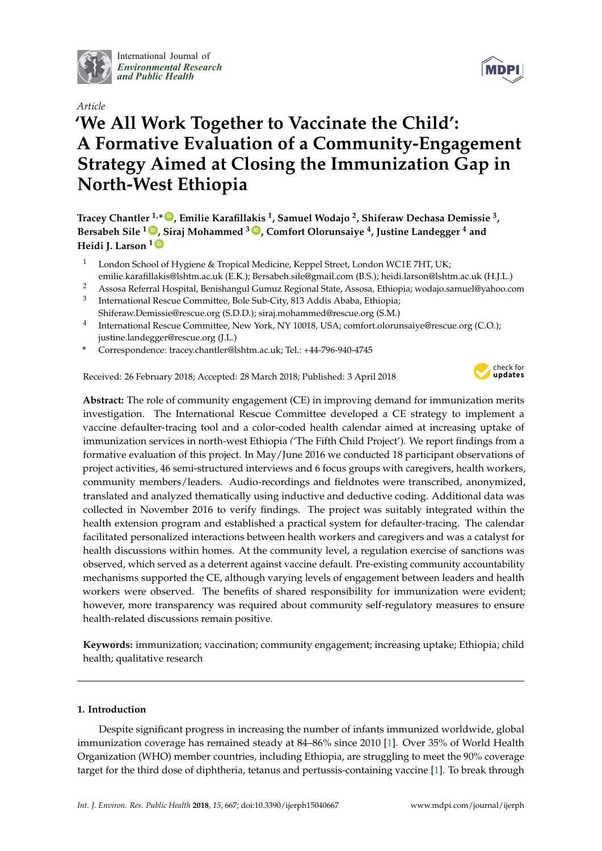

International Journal of *[Environmental Research](http://www.mdpi.com/journal/ijerph) and Public Health*



# **'We All Work Together to Vaccinate the Child': A Formative Evaluation of a Community-Engagement Strategy Aimed at Closing the Immunization Gap in North-West Ethiopia**

**Tracey Chantler 1,\* [ID](https://orcid.org/0000-0001-7776-7339) , Emilie Karafillakis <sup>1</sup> , Samuel Wodajo <sup>2</sup> , Shiferaw Dechasa Demissie <sup>3</sup> , Bersabeh Sile <sup>1</sup> [ID](https://orcid.org/0000-0003-2890-862X) , Siraj Mohammed <sup>3</sup> [ID](https://orcid.org/0000-0003-0228-6068) , Comfort Olorunsaiye <sup>4</sup> , Justine Landegger <sup>4</sup> and Heidi J. Larson <sup>1</sup> [ID](https://orcid.org/0000-0002-8477-7583)**

- <sup>1</sup> London School of Hygiene & Tropical Medicine, Keppel Street, London WC1E 7HT, UK; emilie.karafillakis@lshtm.ac.uk (E.K.); Bersabeh.sile@gmail.com (B.S.); heidi.larson@lshtm.ac.uk (H.J.L.)
- <sup>2</sup> Assosa Referral Hospital, Benishangul Gumuz Regional State, Assosa, Ethiopia; wodajo.samuel@yahoo.com
- 3 International Rescue Committee, Bole Sub-City, 813 Addis Ababa, Ethiopia; Shiferaw.Demissie@rescue.org (S.D.D.); siraj.mohammed@rescue.org (S.M.)
- 4 International Rescue Committee, New York, NY 10018, USA; comfort.olorunsaiye@rescue.org (C.O.); justine.landegger@rescue.org (J.L.)
- **\*** Correspondence: tracey.chantler@lshtm.ac.uk; Tel.: +44-796-940-4745

Received: 26 February 2018; Accepted: 28 March 2018; Published: 3 April 2018



**Abstract:** The role of community engagement (CE) in improving demand for immunization merits investigation. The International Rescue Committee developed a CE strategy to implement a vaccine defaulter-tracing tool and a color-coded health calendar aimed at increasing uptake of immunization services in north-west Ethiopia *(*'The Fifth Child Project'). We report findings from a formative evaluation of this project. In May/June 2016 we conducted 18 participant observations of project activities, 46 semi-structured interviews and 6 focus groups with caregivers, health workers, community members/leaders. Audio-recordings and fieldnotes were transcribed, anonymized, translated and analyzed thematically using inductive and deductive coding. Additional data was collected in November 2016 to verify findings. The project was suitably integrated within the health extension program and established a practical system for defaulter-tracing. The calendar facilitated personalized interactions between health workers and caregivers and was a catalyst for health discussions within homes. At the community level, a regulation exercise of sanctions was observed, which served as a deterrent against vaccine default. Pre-existing community accountability mechanisms supported the CE, although varying levels of engagement between leaders and health workers were observed. The benefits of shared responsibility for immunization were evident; however, more transparency was required about community self-regulatory measures to ensure health-related discussions remain positive.

**Keywords:** immunization; vaccination; community engagement; increasing uptake; Ethiopia; child health; qualitative research

# **1. Introduction**

Despite significant progress in increasing the number of infants immunized worldwide, global immunization coverage has remained steady at 84–86% since 2010 [\[1\]](#page-10-0). Over 35% of World Health Organization (WHO) member countries, including Ethiopia, are struggling to meet the 90% coverage target for the third dose of diphtheria, tetanus and pertussis-containing vaccine [\[1\]](#page-10-0). To break through

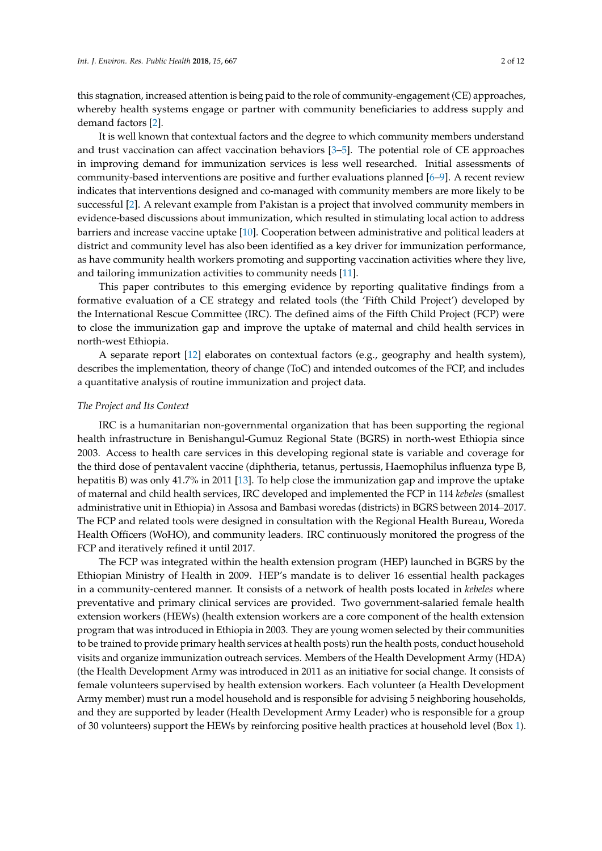this stagnation, increased attention is being paid to the role of community-engagement (CE) approaches, whereby health systems engage or partner with community beneficiaries to address supply and demand factors [\[2\]](#page-10-1).

It is well known that contextual factors and the degree to which community members understand and trust vaccination can affect vaccination behaviors [\[3](#page-10-2)[–5\]](#page-10-3). The potential role of CE approaches in improving demand for immunization services is less well researched. Initial assessments of community-based interventions are positive and further evaluations planned  $[6-9]$  $[6-9]$ . A recent review indicates that interventions designed and co-managed with community members are more likely to be successful [\[2\]](#page-10-1). A relevant example from Pakistan is a project that involved community members in evidence-based discussions about immunization, which resulted in stimulating local action to address barriers and increase vaccine uptake [\[10\]](#page-11-1). Cooperation between administrative and political leaders at district and community level has also been identified as a key driver for immunization performance, as have community health workers promoting and supporting vaccination activities where they live, and tailoring immunization activities to community needs [\[11\]](#page-11-2).

This paper contributes to this emerging evidence by reporting qualitative findings from a formative evaluation of a CE strategy and related tools (the 'Fifth Child Project') developed by the International Rescue Committee (IRC). The defined aims of the Fifth Child Project (FCP) were to close the immunization gap and improve the uptake of maternal and child health services in north-west Ethiopia.

A separate report [\[12\]](#page-11-3) elaborates on contextual factors (e.g., geography and health system), describes the implementation, theory of change (ToC) and intended outcomes of the FCP, and includes a quantitative analysis of routine immunization and project data.

## *The Project and Its Context*

IRC is a humanitarian non-governmental organization that has been supporting the regional health infrastructure in Benishangul-Gumuz Regional State (BGRS) in north-west Ethiopia since 2003. Access to health care services in this developing regional state is variable and coverage for the third dose of pentavalent vaccine (diphtheria, tetanus, pertussis, Haemophilus influenza type B, hepatitis B) was only 41.7% in 2011 [\[13\]](#page-11-4). To help close the immunization gap and improve the uptake of maternal and child health services, IRC developed and implemented the FCP in 114 *kebeles* (smallest administrative unit in Ethiopia) in Assosa and Bambasi woredas (districts) in BGRS between 2014–2017. The FCP and related tools were designed in consultation with the Regional Health Bureau, Woreda Health Officers (WoHO), and community leaders. IRC continuously monitored the progress of the FCP and iteratively refined it until 2017.

The FCP was integrated within the health extension program (HEP) launched in BGRS by the Ethiopian Ministry of Health in 2009. HEP's mandate is to deliver 16 essential health packages in a community-centered manner. It consists of a network of health posts located in *kebeles* where preventative and primary clinical services are provided. Two government-salaried female health extension workers (HEWs) (health extension workers are a core component of the health extension program that was introduced in Ethiopia in 2003. They are young women selected by their communities to be trained to provide primary health services at health posts) run the health posts, conduct household visits and organize immunization outreach services. Members of the Health Development Army (HDA) (the Health Development Army was introduced in 2011 as an initiative for social change. It consists of female volunteers supervised by health extension workers. Each volunteer (a Health Development Army member) must run a model household and is responsible for advising 5 neighboring households, and they are supported by leader (Health Development Army Leader) who is responsible for a group of 30 volunteers) support the HEWs by reinforcing positive health practices at household level (Box [1\)](#page-2-0).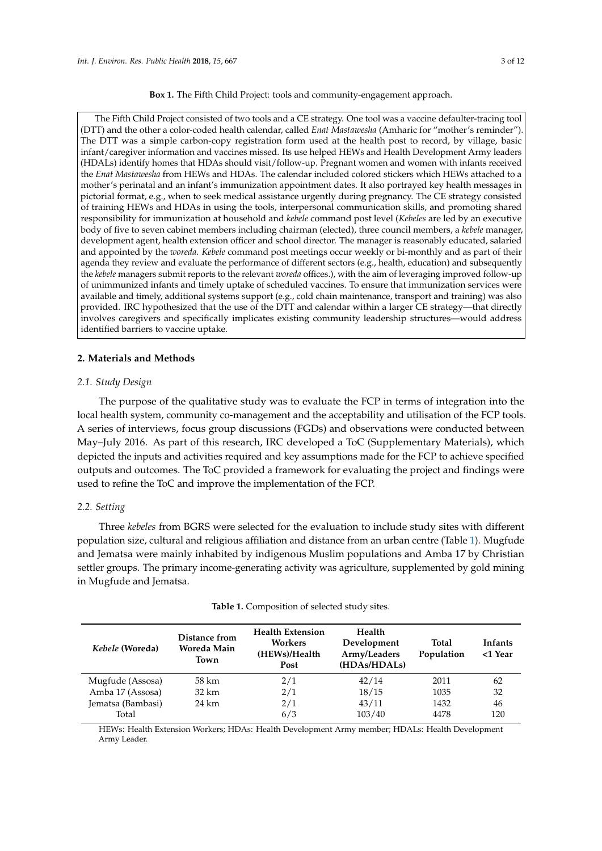#### **Box 1.** The Fifth Child Project: tools and community-engagement approach.

<span id="page-2-0"></span>The Fifth Child Project consisted of two tools and a CE strategy. One tool was a vaccine defaulter-tracing tool (DTT) and the other a color-coded health calendar, called *Enat Mastawesha* (Amharic for "mother's reminder"). The DTT was a simple carbon-copy registration form used at the health post to record, by village, basic infant/caregiver information and vaccines missed. Its use helped HEWs and Health Development Army leaders (HDALs) identify homes that HDAs should visit/follow-up. Pregnant women and women with infants received the *Enat Mastawesha* from HEWs and HDAs. The calendar included colored stickers which HEWs attached to a mother's perinatal and an infant's immunization appointment dates. It also portrayed key health messages in pictorial format, e.g., when to seek medical assistance urgently during pregnancy. The CE strategy consisted of training HEWs and HDAs in using the tools, interpersonal communication skills, and promoting shared responsibility for immunization at household and *kebele* command post level (*Kebeles* are led by an executive body of five to seven cabinet members including chairman (elected), three council members, a *kebele* manager, development agent, health extension officer and school director. The manager is reasonably educated, salaried and appointed by the *woreda*. *Kebele* command post meetings occur weekly or bi-monthly and as part of their agenda they review and evaluate the performance of different sectors (e.g., health, education) and subsequently the *kebele* managers submit reports to the relevant *woreda* offices.), with the aim of leveraging improved follow-up of unimmunized infants and timely uptake of scheduled vaccines. To ensure that immunization services were available and timely, additional systems support (e.g., cold chain maintenance, transport and training) was also provided. IRC hypothesized that the use of the DTT and calendar within a larger CE strategy—that directly involves caregivers and specifically implicates existing community leadership structures—would address identified barriers to vaccine uptake.

## **2. Materials and Methods**

#### *2.1. Study Design*

The purpose of the qualitative study was to evaluate the FCP in terms of integration into the local health system, community co-management and the acceptability and utilisation of the FCP tools. A series of interviews, focus group discussions (FGDs) and observations were conducted between May–July 2016. As part of this research, IRC developed a ToC (Supplementary Materials), which depicted the inputs and activities required and key assumptions made for the FCP to achieve specified outputs and outcomes. The ToC provided a framework for evaluating the project and findings were used to refine the ToC and improve the implementation of the FCP.

## *2.2. Setting*

Three *kebeles* from BGRS were selected for the evaluation to include study sites with different population size, cultural and religious affiliation and distance from an urban centre (Table [1\)](#page-2-1). Mugfude and Jematsa were mainly inhabited by indigenous Muslim populations and Amba 17 by Christian settler groups. The primary income-generating activity was agriculture, supplemented by gold mining in Mugfude and Jematsa.

<span id="page-2-1"></span>

| Kebele (Woreda)   | Distance from<br>Woreda Main<br>Town | <b>Health Extension</b><br>Workers<br>(HEWs)/Health<br><b>Post</b> | <b>Health</b><br>Development<br>Army/Leaders<br>(HDAs/HDALs) | <b>Total</b><br>Population | <b>Infants</b><br><1 Year |
|-------------------|--------------------------------------|--------------------------------------------------------------------|--------------------------------------------------------------|----------------------------|---------------------------|
| Mugfude (Assosa)  | 58 km                                | 2/1                                                                | 42/14                                                        | 2011                       | 62                        |
| Amba 17 (Assosa)  | 32 km                                | 2/1                                                                | 18/15                                                        | 1035                       | 32                        |
| Jematsa (Bambasi) | 24 km                                | 2/1                                                                | 43/11                                                        | 1432                       | 46                        |
| Total             |                                      | 6/3                                                                | 103/40                                                       | 4478                       | 120                       |

| Table 1. Composition of selected study sites. |  |
|-----------------------------------------------|--|
|                                               |  |

HEWs: Health Extension Workers; HDAs: Health Development Army member; HDALs: Health Development Army Leader.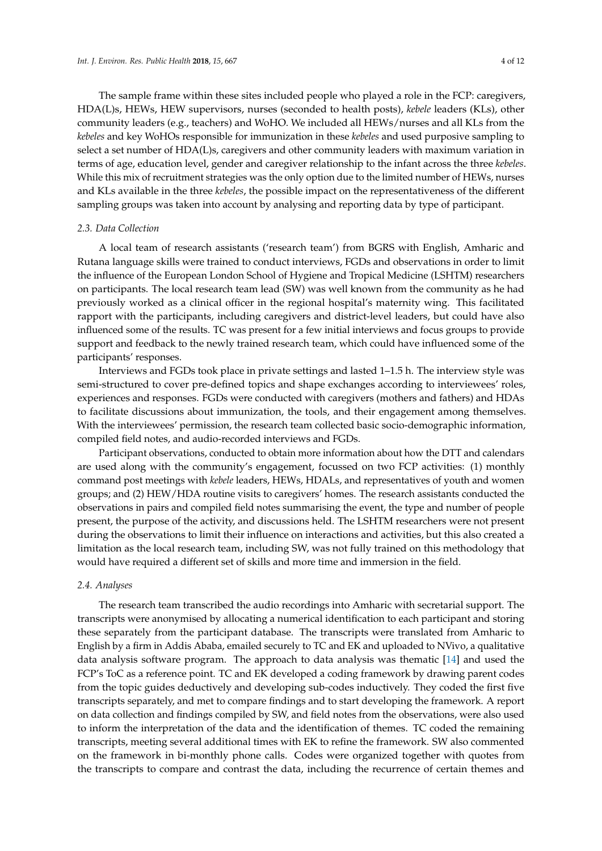The sample frame within these sites included people who played a role in the FCP: caregivers, HDA(L)s, HEWs, HEW supervisors, nurses (seconded to health posts), *kebele* leaders (KLs), other community leaders (e.g., teachers) and WoHO. We included all HEWs/nurses and all KLs from the *kebeles* and key WoHOs responsible for immunization in these *kebeles* and used purposive sampling to select a set number of HDA(L)s, caregivers and other community leaders with maximum variation in terms of age, education level, gender and caregiver relationship to the infant across the three *kebeles*. While this mix of recruitment strategies was the only option due to the limited number of HEWs, nurses and KLs available in the three *kebeles*, the possible impact on the representativeness of the different sampling groups was taken into account by analysing and reporting data by type of participant.

#### *2.3. Data Collection*

A local team of research assistants ('research team') from BGRS with English, Amharic and Rutana language skills were trained to conduct interviews, FGDs and observations in order to limit the influence of the European London School of Hygiene and Tropical Medicine (LSHTM) researchers on participants. The local research team lead (SW) was well known from the community as he had previously worked as a clinical officer in the regional hospital's maternity wing. This facilitated rapport with the participants, including caregivers and district-level leaders, but could have also influenced some of the results. TC was present for a few initial interviews and focus groups to provide support and feedback to the newly trained research team, which could have influenced some of the participants' responses.

Interviews and FGDs took place in private settings and lasted 1–1.5 h. The interview style was semi-structured to cover pre-defined topics and shape exchanges according to interviewees' roles, experiences and responses. FGDs were conducted with caregivers (mothers and fathers) and HDAs to facilitate discussions about immunization, the tools, and their engagement among themselves. With the interviewees' permission, the research team collected basic socio-demographic information, compiled field notes, and audio-recorded interviews and FGDs.

Participant observations, conducted to obtain more information about how the DTT and calendars are used along with the community's engagement, focussed on two FCP activities: (1) monthly command post meetings with *kebele* leaders, HEWs, HDALs, and representatives of youth and women groups; and (2) HEW/HDA routine visits to caregivers' homes. The research assistants conducted the observations in pairs and compiled field notes summarising the event, the type and number of people present, the purpose of the activity, and discussions held. The LSHTM researchers were not present during the observations to limit their influence on interactions and activities, but this also created a limitation as the local research team, including SW, was not fully trained on this methodology that would have required a different set of skills and more time and immersion in the field.

#### *2.4. Analyses*

The research team transcribed the audio recordings into Amharic with secretarial support. The transcripts were anonymised by allocating a numerical identification to each participant and storing these separately from the participant database. The transcripts were translated from Amharic to English by a firm in Addis Ababa, emailed securely to TC and EK and uploaded to NVivo, a qualitative data analysis software program. The approach to data analysis was thematic [\[14\]](#page-11-5) and used the FCP's ToC as a reference point. TC and EK developed a coding framework by drawing parent codes from the topic guides deductively and developing sub-codes inductively. They coded the first five transcripts separately, and met to compare findings and to start developing the framework. A report on data collection and findings compiled by SW, and field notes from the observations, were also used to inform the interpretation of the data and the identification of themes. TC coded the remaining transcripts, meeting several additional times with EK to refine the framework. SW also commented on the framework in bi-monthly phone calls. Codes were organized together with quotes from the transcripts to compare and contrast the data, including the recurrence of certain themes and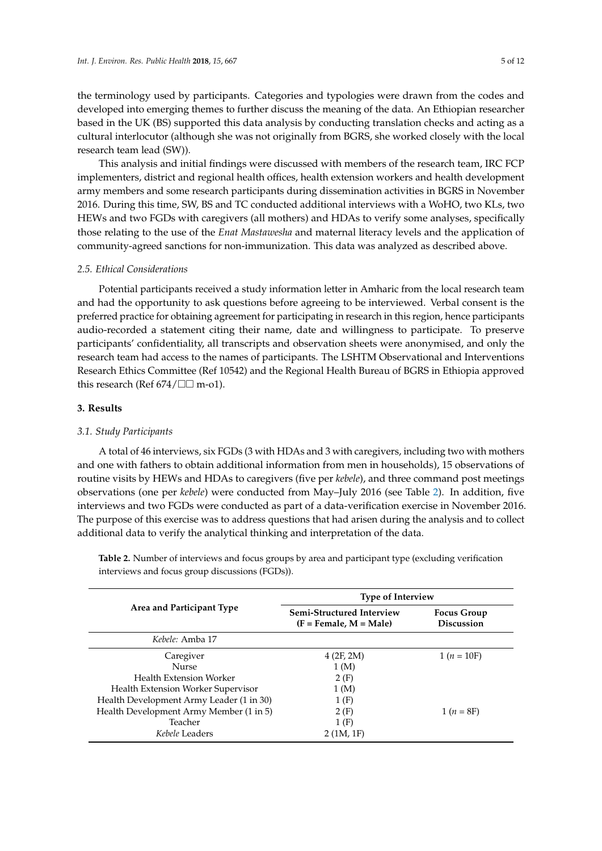the terminology used by participants. Categories and typologies were drawn from the codes and developed into emerging themes to further discuss the meaning of the data. An Ethiopian researcher based in the UK (BS) supported this data analysis by conducting translation checks and acting as a cultural interlocutor (although she was not originally from BGRS, she worked closely with the local research team lead (SW)).

This analysis and initial findings were discussed with members of the research team, IRC FCP implementers, district and regional health offices, health extension workers and health development army members and some research participants during dissemination activities in BGRS in November 2016. During this time, SW, BS and TC conducted additional interviews with a WoHO, two KLs, two HEWs and two FGDs with caregivers (all mothers) and HDAs to verify some analyses, specifically those relating to the use of the *Enat Mastawesha* and maternal literacy levels and the application of community-agreed sanctions for non-immunization. This data was analyzed as described above.

## *2.5. Ethical Considerations*

Potential participants received a study information letter in Amharic from the local research team and had the opportunity to ask questions before agreeing to be interviewed. Verbal consent is the preferred practice for obtaining agreement for participating in research in this region, hence participants audio-recorded a statement citing their name, date and willingness to participate. To preserve participants' confidentiality, all transcripts and observation sheets were anonymised, and only the research team had access to the names of participants. The LSHTM Observational and Interventions Research Ethics Committee (Ref 10542) and the Regional Health Bureau of BGRS in Ethiopia approved this research (Ref  $674/\square$  m-o1).

## **3. Results**

## *3.1. Study Participants*

A total of 46 interviews, six FGDs (3 with HDAs and 3 with caregivers, including two with mothers and one with fathers to obtain additional information from men in households), 15 observations of routine visits by HEWs and HDAs to caregivers (five per *kebele*), and three command post meetings observations (one per *kebele*) were conducted from May–July 2016 (see Table [2\)](#page-5-0). In addition, five interviews and two FGDs were conducted as part of a data-verification exercise in November 2016. The purpose of this exercise was to address questions that had arisen during the analysis and to collect additional data to verify the analytical thinking and interpretation of the data.

**Table 2.** Number of interviews and focus groups by area and participant type (excluding verification interviews and focus group discussions (FGDs)).

|                                          | <b>Type of Interview</b>                                     |                                         |  |
|------------------------------------------|--------------------------------------------------------------|-----------------------------------------|--|
| Area and Participant Type                | <b>Semi-Structured Interview</b><br>$(F = Female, M = Male)$ | <b>Focus Group</b><br><b>Discussion</b> |  |
| Kebele: Amba 17                          |                                                              |                                         |  |
| Caregiver                                | 4(2F, 2M)                                                    | $1(n = 10F)$                            |  |
| <b>Nurse</b>                             | 1(M)                                                         |                                         |  |
| Health Extension Worker                  | 2(F)                                                         |                                         |  |
| Health Extension Worker Supervisor       | 1(M)                                                         |                                         |  |
| Health Development Army Leader (1 in 30) | 1(F)                                                         |                                         |  |
| Health Development Army Member (1 in 5)  | 2(F)                                                         | $1(n = 8F)$                             |  |
| Teacher                                  | 1(F)                                                         |                                         |  |
| Kebele Leaders                           | 2(1M, 1F)                                                    |                                         |  |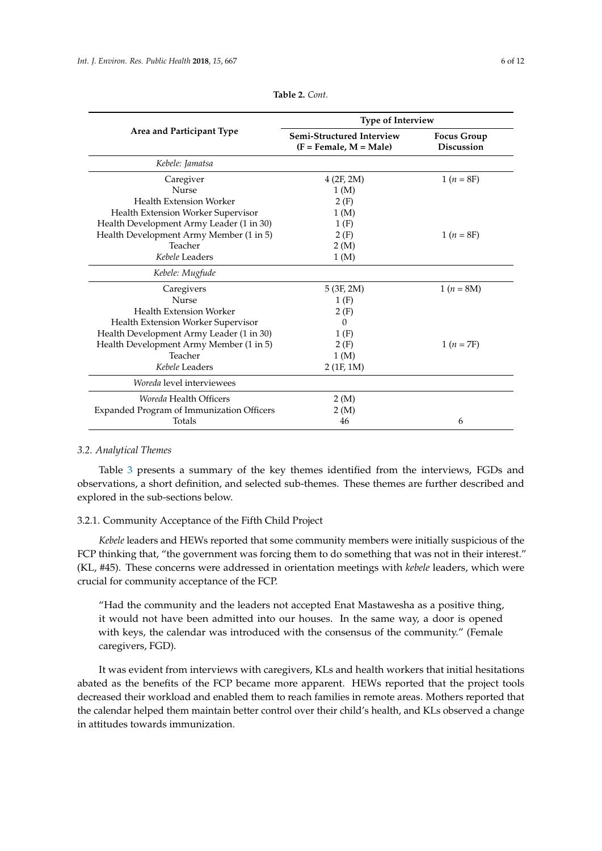<span id="page-5-0"></span>

|                                                                                                                                                                                                                        | <b>Type of Interview</b>                                                   |                                         |  |
|------------------------------------------------------------------------------------------------------------------------------------------------------------------------------------------------------------------------|----------------------------------------------------------------------------|-----------------------------------------|--|
| Area and Participant Type                                                                                                                                                                                              | Semi-Structured Interview<br>$(F = Female, M = Male)$                      | <b>Focus Group</b><br><b>Discussion</b> |  |
| Kebele: Jamatsa                                                                                                                                                                                                        |                                                                            |                                         |  |
| Caregiver<br><b>Nurse</b><br><b>Health Extension Worker</b><br>Health Extension Worker Supervisor<br>Health Development Army Leader (1 in 30)<br>Health Development Army Member (1 in 5)<br>Teacher                    | 4(2F, 2M)<br>1(M)<br>2(F)<br>1(M)<br>1(F)<br>2(F)<br>2(M)                  | $1(n = 8F)$<br>$1(n = 8F)$              |  |
| Kebele Leaders<br>Kebele: Mugfude                                                                                                                                                                                      | 1(M)                                                                       |                                         |  |
| Caregivers<br><b>Nurse</b><br><b>Health Extension Worker</b><br>Health Extension Worker Supervisor<br>Health Development Army Leader (1 in 30)<br>Health Development Army Member (1 in 5)<br>Teacher<br>Kebele Leaders | 5(3F, 2M)<br>1(F)<br>2(F)<br>$\Omega$<br>1(F)<br>2(F)<br>1(M)<br>2(1F, 1M) | $1(n = 8M)$<br>$1(n = 7F)$              |  |
| Woreda level interviewees                                                                                                                                                                                              |                                                                            |                                         |  |
| <i>Woreda</i> Health Officers<br>Expanded Program of Immunization Officers<br>Totals                                                                                                                                   | 2(M)<br>2(M)<br>46                                                         | 6                                       |  |

**Table 2.** *Cont.*

# *3.2. Analytical Themes*

Table [3](#page-6-0) presents a summary of the key themes identified from the interviews, FGDs and observations, a short definition, and selected sub-themes. These themes are further described and explored in the sub-sections below.

# 3.2.1. Community Acceptance of the Fifth Child Project

*Kebele* leaders and HEWs reported that some community members were initially suspicious of the FCP thinking that, "the government was forcing them to do something that was not in their interest." (KL, #45). These concerns were addressed in orientation meetings with *kebele* leaders, which were crucial for community acceptance of the FCP.

"Had the community and the leaders not accepted Enat Mastawesha as a positive thing, it would not have been admitted into our houses. In the same way, a door is opened with keys, the calendar was introduced with the consensus of the community." (Female caregivers, FGD).

It was evident from interviews with caregivers, KLs and health workers that initial hesitations abated as the benefits of the FCP became more apparent. HEWs reported that the project tools decreased their workload and enabled them to reach families in remote areas. Mothers reported that the calendar helped them maintain better control over their child's health, and KLs observed a change in attitudes towards immunization.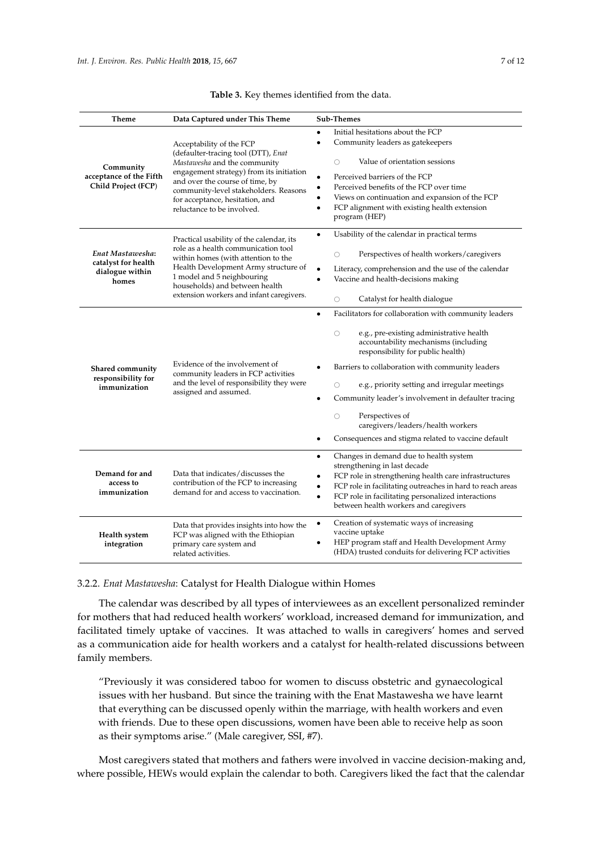<span id="page-6-0"></span>

| Theme                                                               | Data Captured under This Theme                                                                                                                                                                                                                                                           | <b>Sub-Themes</b>                                                                                                                                                                                                                                                                                                                                                                                                                                                                               |  |
|---------------------------------------------------------------------|------------------------------------------------------------------------------------------------------------------------------------------------------------------------------------------------------------------------------------------------------------------------------------------|-------------------------------------------------------------------------------------------------------------------------------------------------------------------------------------------------------------------------------------------------------------------------------------------------------------------------------------------------------------------------------------------------------------------------------------------------------------------------------------------------|--|
| Community<br>acceptance of the Fifth<br>Child Project (FCP)         | Acceptability of the FCP<br>(defaulter-tracing tool (DTT), Enat<br>Mastawesha and the community<br>engagement strategy) from its initiation<br>and over the course of time, by<br>community-level stakeholders. Reasons<br>for acceptance, hesitation, and<br>reluctance to be involved. | Initial hesitations about the FCP<br>٠<br>Community leaders as gatekeepers<br>$\bullet$<br>Value of orientation sessions<br>$\bigcirc$<br>Perceived barriers of the FCP<br>$\bullet$<br>Perceived benefits of the FCP over time<br>٠<br>Views on continuation and expansion of the FCP<br>$\bullet$<br>FCP alignment with existing health extension<br>$\bullet$<br>program (HEP)                                                                                                               |  |
| Enat Mastawesha:<br>catalyst for health<br>dialogue within<br>homes | Practical usability of the calendar, its<br>role as a health communication tool<br>within homes (with attention to the<br>Health Development Army structure of<br>1 model and 5 neighbouring<br>households) and between health<br>extension workers and infant caregivers.               | Usability of the calendar in practical terms<br>$\bullet$<br>Perspectives of health workers/caregivers<br>$\bigcirc$<br>Literacy, comprehension and the use of the calendar<br>$\bullet$<br>Vaccine and health-decisions making<br>$\bullet$<br>$\bigcirc$<br>Catalyst for health dialogue                                                                                                                                                                                                      |  |
| <b>Shared community</b><br>responsibility for<br>immunization       | Evidence of the involvement of<br>community leaders in FCP activities<br>and the level of responsibility they were<br>assigned and assumed.                                                                                                                                              | Facilitators for collaboration with community leaders<br>$\bullet$<br>e.g., pre-existing administrative health<br>0<br>accountability mechanisms (including<br>responsibility for public health)<br>Barriers to collaboration with community leaders<br>e.g., priority setting and irregular meetings<br>0<br>Community leader's involvement in defaulter tracing<br>$\circ$<br>Perspectives of<br>caregivers/leaders/health workers<br>Consequences and stigma related to vaccine default<br>٠ |  |
| Demand for and<br>access to<br>immunization                         | Data that indicates/discusses the<br>contribution of the FCP to increasing<br>demand for and access to vaccination.                                                                                                                                                                      | Changes in demand due to health system<br>٠<br>strengthening in last decade<br>FCP role in strengthening health care infrastructures<br>٠<br>FCP role in facilitating outreaches in hard to reach areas<br>$\bullet$<br>FCP role in facilitating personalized interactions<br>$\bullet$<br>between health workers and caregivers                                                                                                                                                                |  |
| Health system<br>integration                                        | Data that provides insights into how the<br>FCP was aligned with the Ethiopian<br>primary care system and<br>related activities.                                                                                                                                                         | Creation of systematic ways of increasing<br>$\bullet$<br>vaccine uptake<br>HEP program staff and Health Development Army<br>$\bullet$<br>(HDA) trusted conduits for delivering FCP activities                                                                                                                                                                                                                                                                                                  |  |

## **Table 3.** Key themes identified from the data.

# 3.2.2. *Enat Mastawesha*: Catalyst for Health Dialogue within Homes

The calendar was described by all types of interviewees as an excellent personalized reminder for mothers that had reduced health workers' workload, increased demand for immunization, and facilitated timely uptake of vaccines. It was attached to walls in caregivers' homes and served as a communication aide for health workers and a catalyst for health-related discussions between family members.

"Previously it was considered taboo for women to discuss obstetric and gynaecological issues with her husband. But since the training with the Enat Mastawesha we have learnt that everything can be discussed openly within the marriage, with health workers and even with friends. Due to these open discussions, women have been able to receive help as soon as their symptoms arise." (Male caregiver, SSI, #7).

Most caregivers stated that mothers and fathers were involved in vaccine decision-making and, where possible, HEWs would explain the calendar to both. Caregivers liked the fact that the calendar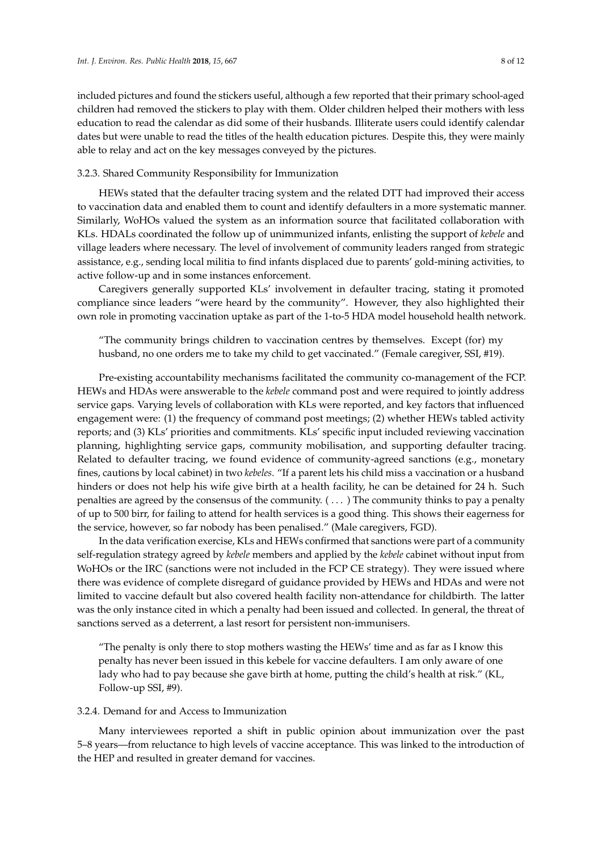included pictures and found the stickers useful, although a few reported that their primary school-aged children had removed the stickers to play with them. Older children helped their mothers with less education to read the calendar as did some of their husbands. Illiterate users could identify calendar dates but were unable to read the titles of the health education pictures. Despite this, they were mainly able to relay and act on the key messages conveyed by the pictures.

## 3.2.3. Shared Community Responsibility for Immunization

HEWs stated that the defaulter tracing system and the related DTT had improved their access to vaccination data and enabled them to count and identify defaulters in a more systematic manner. Similarly, WoHOs valued the system as an information source that facilitated collaboration with KLs. HDALs coordinated the follow up of unimmunized infants, enlisting the support of *kebele* and village leaders where necessary. The level of involvement of community leaders ranged from strategic assistance, e.g., sending local militia to find infants displaced due to parents' gold-mining activities, to active follow-up and in some instances enforcement.

Caregivers generally supported KLs' involvement in defaulter tracing, stating it promoted compliance since leaders "were heard by the community". However, they also highlighted their own role in promoting vaccination uptake as part of the 1-to-5 HDA model household health network.

"The community brings children to vaccination centres by themselves. Except (for) my husband, no one orders me to take my child to get vaccinated." (Female caregiver, SSI, #19).

Pre-existing accountability mechanisms facilitated the community co-management of the FCP. HEWs and HDAs were answerable to the *kebele* command post and were required to jointly address service gaps. Varying levels of collaboration with KLs were reported, and key factors that influenced engagement were: (1) the frequency of command post meetings; (2) whether HEWs tabled activity reports; and (3) KLs' priorities and commitments. KLs' specific input included reviewing vaccination planning, highlighting service gaps, community mobilisation, and supporting defaulter tracing. Related to defaulter tracing, we found evidence of community-agreed sanctions (e.g., monetary fines, cautions by local cabinet) in two *kebeles*. "If a parent lets his child miss a vaccination or a husband hinders or does not help his wife give birth at a health facility, he can be detained for 24 h. Such penalties are agreed by the consensus of the community. ( . . . ) The community thinks to pay a penalty of up to 500 birr, for failing to attend for health services is a good thing. This shows their eagerness for the service, however, so far nobody has been penalised." (Male caregivers, FGD).

In the data verification exercise, KLs and HEWs confirmed that sanctions were part of a community self-regulation strategy agreed by *kebele* members and applied by the *kebele* cabinet without input from WoHOs or the IRC (sanctions were not included in the FCP CE strategy). They were issued where there was evidence of complete disregard of guidance provided by HEWs and HDAs and were not limited to vaccine default but also covered health facility non-attendance for childbirth. The latter was the only instance cited in which a penalty had been issued and collected. In general, the threat of sanctions served as a deterrent, a last resort for persistent non-immunisers.

"The penalty is only there to stop mothers wasting the HEWs' time and as far as I know this penalty has never been issued in this kebele for vaccine defaulters. I am only aware of one lady who had to pay because she gave birth at home, putting the child's health at risk." (KL, Follow-up SSI, #9).

## 3.2.4. Demand for and Access to Immunization

Many interviewees reported a shift in public opinion about immunization over the past 5–8 years—from reluctance to high levels of vaccine acceptance. This was linked to the introduction of the HEP and resulted in greater demand for vaccines.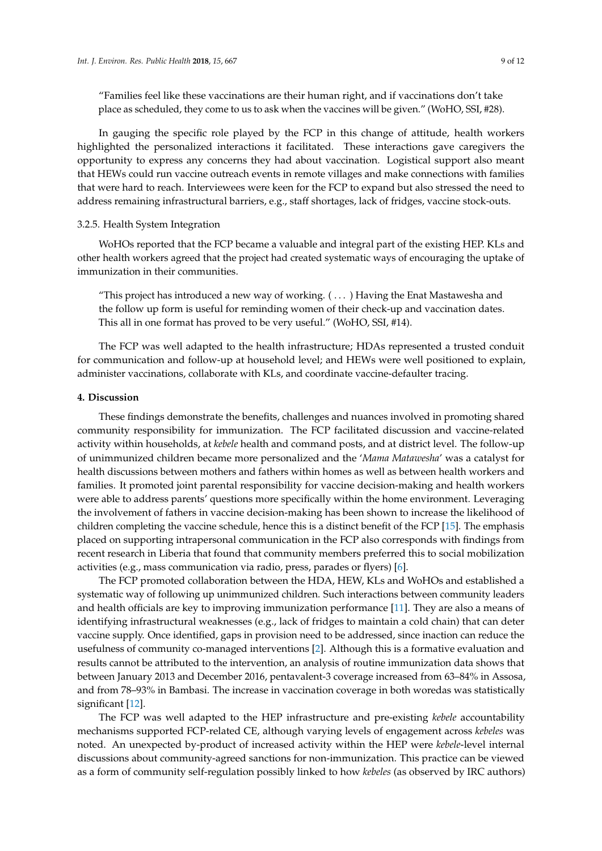"Families feel like these vaccinations are their human right, and if vaccinations don't take place as scheduled, they come to us to ask when the vaccines will be given." (WoHO, SSI, #28).

In gauging the specific role played by the FCP in this change of attitude, health workers highlighted the personalized interactions it facilitated. These interactions gave caregivers the opportunity to express any concerns they had about vaccination. Logistical support also meant that HEWs could run vaccine outreach events in remote villages and make connections with families that were hard to reach. Interviewees were keen for the FCP to expand but also stressed the need to address remaining infrastructural barriers, e.g., staff shortages, lack of fridges, vaccine stock-outs.

## 3.2.5. Health System Integration

WoHOs reported that the FCP became a valuable and integral part of the existing HEP. KLs and other health workers agreed that the project had created systematic ways of encouraging the uptake of immunization in their communities.

"This project has introduced a new way of working. ( . . . ) Having the Enat Mastawesha and the follow up form is useful for reminding women of their check-up and vaccination dates. This all in one format has proved to be very useful." (WoHO, SSI, #14).

The FCP was well adapted to the health infrastructure; HDAs represented a trusted conduit for communication and follow-up at household level; and HEWs were well positioned to explain, administer vaccinations, collaborate with KLs, and coordinate vaccine-defaulter tracing.

## **4. Discussion**

These findings demonstrate the benefits, challenges and nuances involved in promoting shared community responsibility for immunization. The FCP facilitated discussion and vaccine-related activity within households, at *kebele* health and command posts, and at district level. The follow-up of unimmunized children became more personalized and the '*Mama Matawesha*' was a catalyst for health discussions between mothers and fathers within homes as well as between health workers and families. It promoted joint parental responsibility for vaccine decision-making and health workers were able to address parents' questions more specifically within the home environment. Leveraging the involvement of fathers in vaccine decision-making has been shown to increase the likelihood of children completing the vaccine schedule, hence this is a distinct benefit of the FCP [\[15\]](#page-11-6). The emphasis placed on supporting intrapersonal communication in the FCP also corresponds with findings from recent research in Liberia that found that community members preferred this to social mobilization activities (e.g., mass communication via radio, press, parades or flyers) [\[6\]](#page-10-4).

The FCP promoted collaboration between the HDA, HEW, KLs and WoHOs and established a systematic way of following up unimmunized children. Such interactions between community leaders and health officials are key to improving immunization performance [\[11\]](#page-11-2). They are also a means of identifying infrastructural weaknesses (e.g., lack of fridges to maintain a cold chain) that can deter vaccine supply. Once identified, gaps in provision need to be addressed, since inaction can reduce the usefulness of community co-managed interventions [\[2\]](#page-10-1). Although this is a formative evaluation and results cannot be attributed to the intervention, an analysis of routine immunization data shows that between January 2013 and December 2016, pentavalent-3 coverage increased from 63–84% in Assosa, and from 78–93% in Bambasi. The increase in vaccination coverage in both woredas was statistically significant [\[12\]](#page-11-3).

The FCP was well adapted to the HEP infrastructure and pre-existing *kebele* accountability mechanisms supported FCP-related CE, although varying levels of engagement across *kebeles* was noted. An unexpected by-product of increased activity within the HEP were *kebele*-level internal discussions about community-agreed sanctions for non-immunization. This practice can be viewed as a form of community self-regulation possibly linked to how *kebeles* (as observed by IRC authors)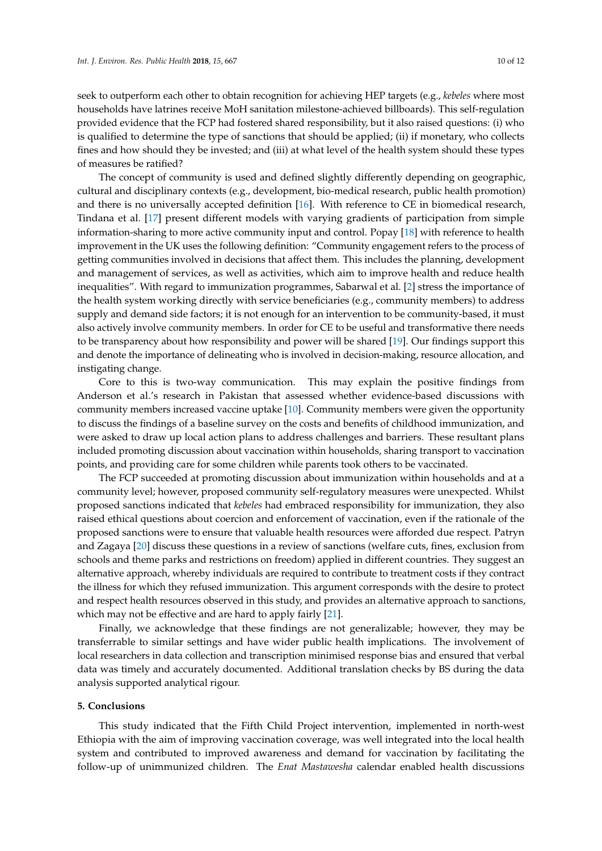seek to outperform each other to obtain recognition for achieving HEP targets (e.g., *kebeles* where most households have latrines receive MoH sanitation milestone-achieved billboards). This self-regulation provided evidence that the FCP had fostered shared responsibility, but it also raised questions: (i) who is qualified to determine the type of sanctions that should be applied; (ii) if monetary, who collects fines and how should they be invested; and (iii) at what level of the health system should these types of measures be ratified?

The concept of community is used and defined slightly differently depending on geographic, cultural and disciplinary contexts (e.g., development, bio-medical research, public health promotion) and there is no universally accepted definition [\[16\]](#page-11-7). With reference to CE in biomedical research, Tindana et al. [\[17\]](#page-11-8) present different models with varying gradients of participation from simple information-sharing to more active community input and control. Popay [\[18\]](#page-11-9) with reference to health improvement in the UK uses the following definition: "Community engagement refers to the process of getting communities involved in decisions that affect them. This includes the planning, development and management of services, as well as activities, which aim to improve health and reduce health inequalities". With regard to immunization programmes, Sabarwal et al. [\[2\]](#page-10-1) stress the importance of the health system working directly with service beneficiaries (e.g., community members) to address supply and demand side factors; it is not enough for an intervention to be community-based, it must also actively involve community members. In order for CE to be useful and transformative there needs to be transparency about how responsibility and power will be shared [\[19\]](#page-11-10). Our findings support this and denote the importance of delineating who is involved in decision-making, resource allocation, and instigating change.

Core to this is two-way communication. This may explain the positive findings from Anderson et al.'s research in Pakistan that assessed whether evidence-based discussions with community members increased vaccine uptake [\[10\]](#page-11-1). Community members were given the opportunity to discuss the findings of a baseline survey on the costs and benefits of childhood immunization, and were asked to draw up local action plans to address challenges and barriers. These resultant plans included promoting discussion about vaccination within households, sharing transport to vaccination points, and providing care for some children while parents took others to be vaccinated.

The FCP succeeded at promoting discussion about immunization within households and at a community level; however, proposed community self-regulatory measures were unexpected. Whilst proposed sanctions indicated that *kebeles* had embraced responsibility for immunization, they also raised ethical questions about coercion and enforcement of vaccination, even if the rationale of the proposed sanctions were to ensure that valuable health resources were afforded due respect. Patryn and Zagaya [\[20\]](#page-11-11) discuss these questions in a review of sanctions (welfare cuts, fines, exclusion from schools and theme parks and restrictions on freedom) applied in different countries. They suggest an alternative approach, whereby individuals are required to contribute to treatment costs if they contract the illness for which they refused immunization. This argument corresponds with the desire to protect and respect health resources observed in this study, and provides an alternative approach to sanctions, which may not be effective and are hard to apply fairly [\[21\]](#page-11-12).

Finally, we acknowledge that these findings are not generalizable; however, they may be transferrable to similar settings and have wider public health implications. The involvement of local researchers in data collection and transcription minimised response bias and ensured that verbal data was timely and accurately documented. Additional translation checks by BS during the data analysis supported analytical rigour.

## **5. Conclusions**

This study indicated that the Fifth Child Project intervention, implemented in north-west Ethiopia with the aim of improving vaccination coverage, was well integrated into the local health system and contributed to improved awareness and demand for vaccination by facilitating the follow-up of unimmunized children. The *Enat Mastawesha* calendar enabled health discussions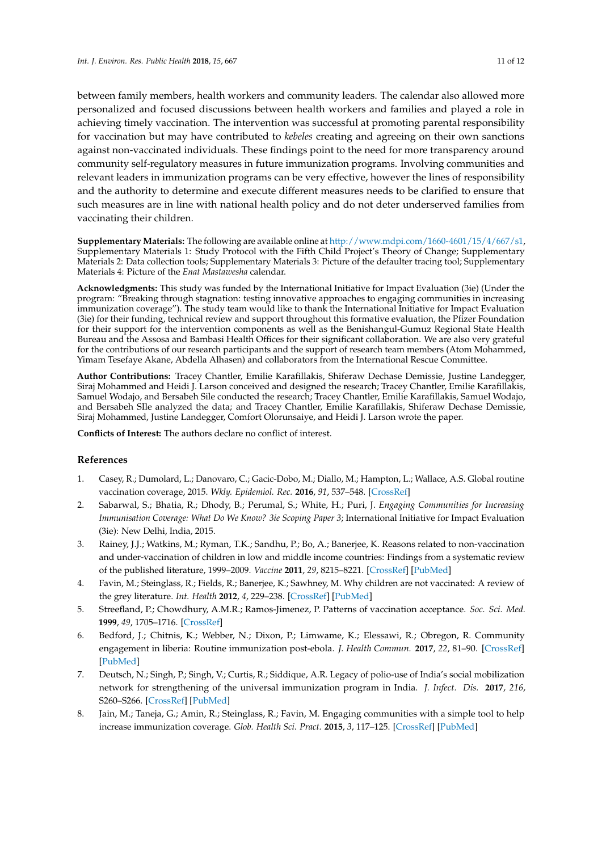between family members, health workers and community leaders. The calendar also allowed more personalized and focused discussions between health workers and families and played a role in achieving timely vaccination. The intervention was successful at promoting parental responsibility for vaccination but may have contributed to *kebeles* creating and agreeing on their own sanctions against non-vaccinated individuals. These findings point to the need for more transparency around community self-regulatory measures in future immunization programs. Involving communities and relevant leaders in immunization programs can be very effective, however the lines of responsibility and the authority to determine and execute different measures needs to be clarified to ensure that such measures are in line with national health policy and do not deter underserved families from vaccinating their children.

**Supplementary Materials:** The following are available online at [http://www.mdpi.com/1660-4601/15/4/667/s1,](http://www.mdpi.com/1660-4601/15/4/667/s1) Supplementary Materials 1: Study Protocol with the Fifth Child Project's Theory of Change; Supplementary Materials 2: Data collection tools; Supplementary Materials 3: Picture of the defaulter tracing tool; Supplementary Materials 4: Picture of the *Enat Mastawesha* calendar.

**Acknowledgments:** This study was funded by the International Initiative for Impact Evaluation (3ie) (Under the program: "Breaking through stagnation: testing innovative approaches to engaging communities in increasing immunization coverage"). The study team would like to thank the International Initiative for Impact Evaluation (3ie) for their funding, technical review and support throughout this formative evaluation, the Pfizer Foundation for their support for the intervention components as well as the Benishangul-Gumuz Regional State Health Bureau and the Assosa and Bambasi Health Offices for their significant collaboration. We are also very grateful for the contributions of our research participants and the support of research team members (Atom Mohammed, Yimam Tesefaye Akane, Abdella Alhasen) and collaborators from the International Rescue Committee.

**Author Contributions:** Tracey Chantler, Emilie Karafillakis, Shiferaw Dechase Demissie, Justine Landegger, Siraj Mohammed and Heidi J. Larson conceived and designed the research; Tracey Chantler, Emilie Karafillakis, Samuel Wodajo, and Bersabeh Sile conducted the research; Tracey Chantler, Emilie Karafillakis, Samuel Wodajo, and Bersabeh SIle analyzed the data; and Tracey Chantler, Emilie Karafillakis, Shiferaw Dechase Demissie, Siraj Mohammed, Justine Landegger, Comfort Olorunsaiye, and Heidi J. Larson wrote the paper.

**Conflicts of Interest:** The authors declare no conflict of interest.

## **References**

- <span id="page-10-0"></span>1. Casey, R.; Dumolard, L.; Danovaro, C.; Gacic-Dobo, M.; Diallo, M.; Hampton, L.; Wallace, A.S. Global routine vaccination coverage, 2015. *Wkly. Epidemiol. Rec.* **2016**, *91*, 537–548. [\[CrossRef\]](http://dx.doi.org/10.15585/mmwr.mm6545a5)
- <span id="page-10-1"></span>2. Sabarwal, S.; Bhatia, R.; Dhody, B.; Perumal, S.; White, H.; Puri, J. *Engaging Communities for Increasing Immunisation Coverage: What Do We Know? 3ie Scoping Paper 3*; International Initiative for Impact Evaluation (3ie): New Delhi, India, 2015.
- <span id="page-10-2"></span>3. Rainey, J.J.; Watkins, M.; Ryman, T.K.; Sandhu, P.; Bo, A.; Banerjee, K. Reasons related to non-vaccination and under-vaccination of children in low and middle income countries: Findings from a systematic review of the published literature, 1999–2009. *Vaccine* **2011**, *29*, 8215–8221. [\[CrossRef\]](http://dx.doi.org/10.1016/j.vaccine.2011.08.096) [\[PubMed\]](http://www.ncbi.nlm.nih.gov/pubmed/21893149)
- 4. Favin, M.; Steinglass, R.; Fields, R.; Banerjee, K.; Sawhney, M. Why children are not vaccinated: A review of the grey literature. *Int. Health* **2012**, *4*, 229–238. [\[CrossRef\]](http://dx.doi.org/10.1016/j.inhe.2012.07.004) [\[PubMed\]](http://www.ncbi.nlm.nih.gov/pubmed/24029668)
- <span id="page-10-3"></span>5. Streefland, P.; Chowdhury, A.M.R.; Ramos-Jimenez, P. Patterns of vaccination acceptance. *Soc. Sci. Med.* **1999**, *49*, 1705–1716. [\[CrossRef\]](http://dx.doi.org/10.1016/S0277-9536(99)00239-7)
- <span id="page-10-4"></span>6. Bedford, J.; Chitnis, K.; Webber, N.; Dixon, P.; Limwame, K.; Elessawi, R.; Obregon, R. Community engagement in liberia: Routine immunization post-ebola. *J. Health Commun.* **2017**, *22*, 81–90. [\[CrossRef\]](http://dx.doi.org/10.1080/10810730.2016.1253122) [\[PubMed\]](http://www.ncbi.nlm.nih.gov/pubmed/28854140)
- 7. Deutsch, N.; Singh, P.; Singh, V.; Curtis, R.; Siddique, A.R. Legacy of polio-use of India's social mobilization network for strengthening of the universal immunization program in India. *J. Infect. Dis.* **2017**, *216*, S260–S266. [\[CrossRef\]](http://dx.doi.org/10.1093/infdis/jix068) [\[PubMed\]](http://www.ncbi.nlm.nih.gov/pubmed/28838190)
- 8. Jain, M.; Taneja, G.; Amin, R.; Steinglass, R.; Favin, M. Engaging communities with a simple tool to help increase immunization coverage. *Glob. Health Sci. Pract.* **2015**, *3*, 117–125. [\[CrossRef\]](http://dx.doi.org/10.9745/GHSP-D-14-00180) [\[PubMed\]](http://www.ncbi.nlm.nih.gov/pubmed/25745125)